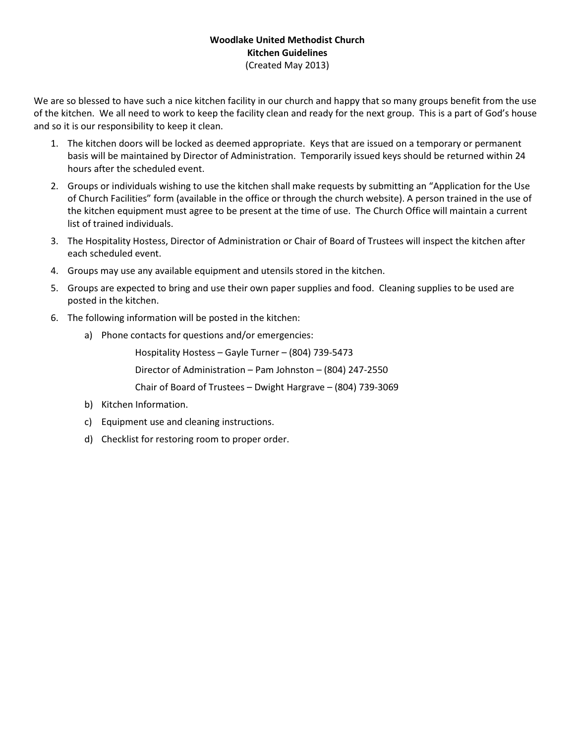### Woodlake United Methodist Church Kitchen Guidelines (Created May 2013)

We are so blessed to have such a nice kitchen facility in our church and happy that so many groups benefit from the use of the kitchen. We all need to work to keep the facility clean and ready for the next group. This is a part of God's house and so it is our responsibility to keep it clean.

- 1. The kitchen doors will be locked as deemed appropriate. Keys that are issued on a temporary or permanent basis will be maintained by Director of Administration. Temporarily issued keys should be returned within 24 hours after the scheduled event.
- 2. Groups or individuals wishing to use the kitchen shall make requests by submitting an "Application for the Use of Church Facilities" form (available in the office or through the church website). A person trained in the use of the kitchen equipment must agree to be present at the time of use. The Church Office will maintain a current list of trained individuals.
- 3. The Hospitality Hostess, Director of Administration or Chair of Board of Trustees will inspect the kitchen after each scheduled event.
- 4. Groups may use any available equipment and utensils stored in the kitchen.
- 5. Groups are expected to bring and use their own paper supplies and food. Cleaning supplies to be used are posted in the kitchen.
- 6. The following information will be posted in the kitchen:
	- a) Phone contacts for questions and/or emergencies:

Hospitality Hostess – Gayle Turner – (804) 739-5473

Director of Administration – Pam Johnston – (804) 247-2550

Chair of Board of Trustees – Dwight Hargrave – (804) 739-3069

- b) Kitchen Information.
- c) Equipment use and cleaning instructions.
- d) Checklist for restoring room to proper order.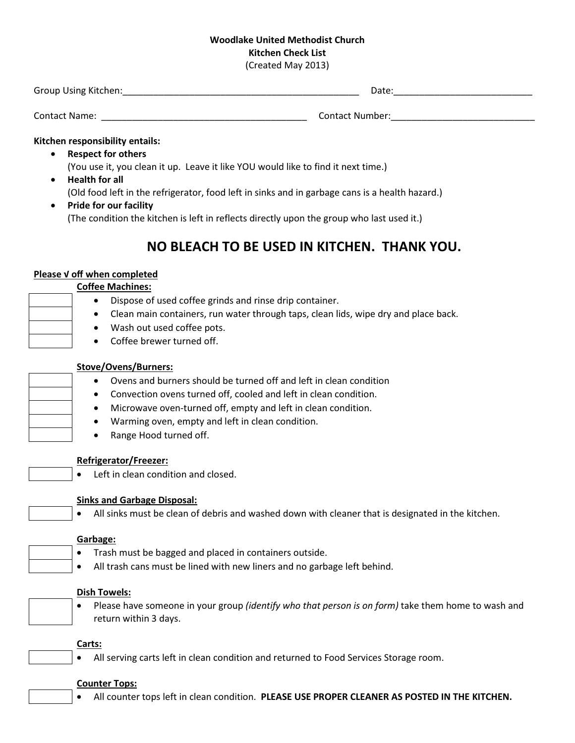## Woodlake United Methodist Church Kitchen Check List

(Created May 2013)

| Group Using Kitchen: | Date:           |
|----------------------|-----------------|
| Contact Name:        | Contact Number: |

#### Kitchen responsibility entails:

- Respect for others
	- (You use it, you clean it up. Leave it like YOU would like to find it next time.)
- Health for all

(Old food left in the refrigerator, food left in sinks and in garbage cans is a health hazard.)

• Pride for our facility (The condition the kitchen is left in reflects directly upon the group who last used it.)

# NO BLEACH TO BE USED IN KITCHEN. THANK YOU.

#### Please √ off when completed

#### Coffee Machines:

- Dispose of used coffee grinds and rinse drip container.
- Clean main containers, run water through taps, clean lids, wipe dry and place back.
- Wash out used coffee pots.
- Coffee brewer turned off.

### Stove/Ovens/Burners:

- Ovens and burners should be turned off and left in clean condition
- Convection ovens turned off, cooled and left in clean condition.
- Microwave oven-turned off, empty and left in clean condition.
- Warming oven, empty and left in clean condition.
- Range Hood turned off.

## Refrigerator/Freezer:

• Left in clean condition and closed.

## Sinks and Garbage Disposal:

• All sinks must be clean of debris and washed down with cleaner that is designated in the kitchen.

## Garbage:

- Trash must be bagged and placed in containers outside.
- All trash cans must be lined with new liners and no garbage left behind.

#### Dish Towels:

• Please have someone in your group *(identify who that person is on form)* take them home to wash and return within 3 days.

## Carts:

• All serving carts left in clean condition and returned to Food Services Storage room.

#### Counter Tops:

All counter tops left in clean condition. PLEASE USE PROPER CLEANER AS POSTED IN THE KITCHEN.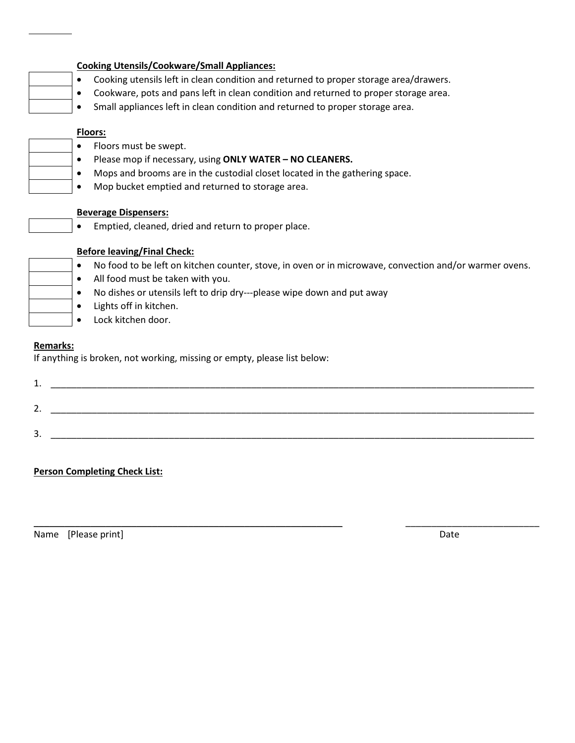| <b>Cooking Utensils/Cookware/Small Appliances:</b>                                                                                                                                                                                                                                         |
|--------------------------------------------------------------------------------------------------------------------------------------------------------------------------------------------------------------------------------------------------------------------------------------------|
| Cooking utensils left in clean condition and returned to proper storage area/drawers.<br>$\bullet$                                                                                                                                                                                         |
| Cookware, pots and pans left in clean condition and returned to proper storage area.<br>$\bullet$                                                                                                                                                                                          |
| Small appliances left in clean condition and returned to proper storage area.<br>$\bullet$                                                                                                                                                                                                 |
| <b>Floors:</b><br>Floors must be swept.<br>$\bullet$<br>Please mop if necessary, using ONLY WATER - NO CLEANERS.<br>$\bullet$<br>Mops and brooms are in the custodial closet located in the gathering space.<br>$\bullet$<br>Mop bucket emptied and returned to storage area.<br>$\bullet$ |
| <b>Beverage Dispensers:</b>                                                                                                                                                                                                                                                                |
| Emptied, cleaned, dried and return to proper place.                                                                                                                                                                                                                                        |
| <b>Before leaving/Final Check:</b>                                                                                                                                                                                                                                                         |
| No food to be left on kitchen counter, stove, in oven or in microwave, convection and/or warmer ovens.<br>$\bullet$                                                                                                                                                                        |
| All food must be taken with you.<br>$\bullet$                                                                                                                                                                                                                                              |
| No dishes or utensils left to drip dry---please wipe down and put away<br>$\bullet$                                                                                                                                                                                                        |
| Lights off in kitchen.<br>$\bullet$                                                                                                                                                                                                                                                        |
| Lock kitchen door.                                                                                                                                                                                                                                                                         |
| <b>Remarks:</b><br>If anything is broken, not working, missing or empty, please list below:                                                                                                                                                                                                |
| 1.                                                                                                                                                                                                                                                                                         |
| 2.                                                                                                                                                                                                                                                                                         |
|                                                                                                                                                                                                                                                                                            |
| 3.                                                                                                                                                                                                                                                                                         |
|                                                                                                                                                                                                                                                                                            |

 $\_$  . The contribution of the contribution of the contribution of the contribution of the contribution of the contribution of the contribution of the contribution of the contribution of the contribution of the contributio

## Person Completing Check List:

Name [Please print] Date

 $\Box$